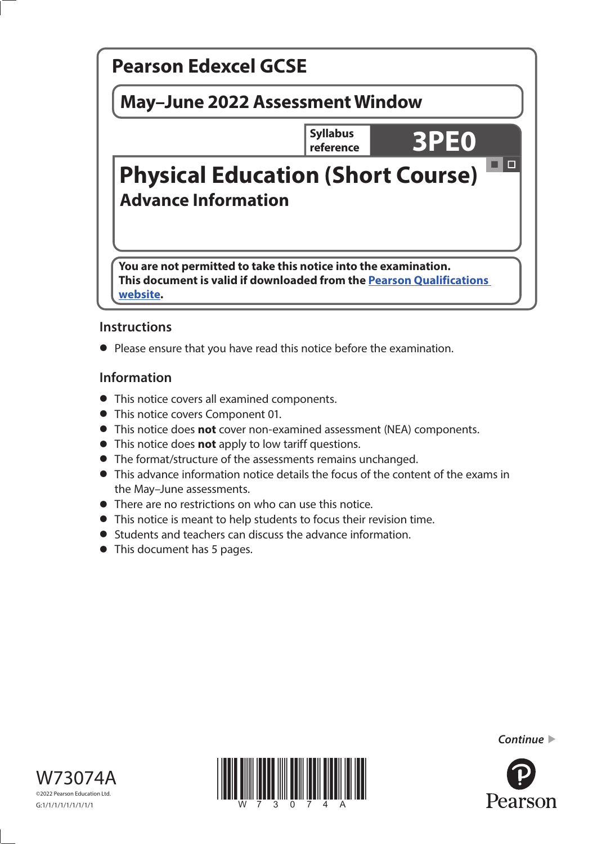

# **Instructions**

**•** Please ensure that you have read this notice before the examination.

# **Information**

- This notice covers all examined components.
- This notice covers Component 01.
- This notice does **not** cover non-examined assessment (NEA) components.
- This notice does **not** apply to low tariff questions.
- The format/structure of the assessments remains unchanged.
- This advance information notice details the focus of the content of the exams in the May–June assessments.
- There are no restrictions on who can use this notice.
- This notice is meant to help students to focus their revision time.
- Students and teachers can discuss the advance information.
- This document has 5 pages.







*Continue* 

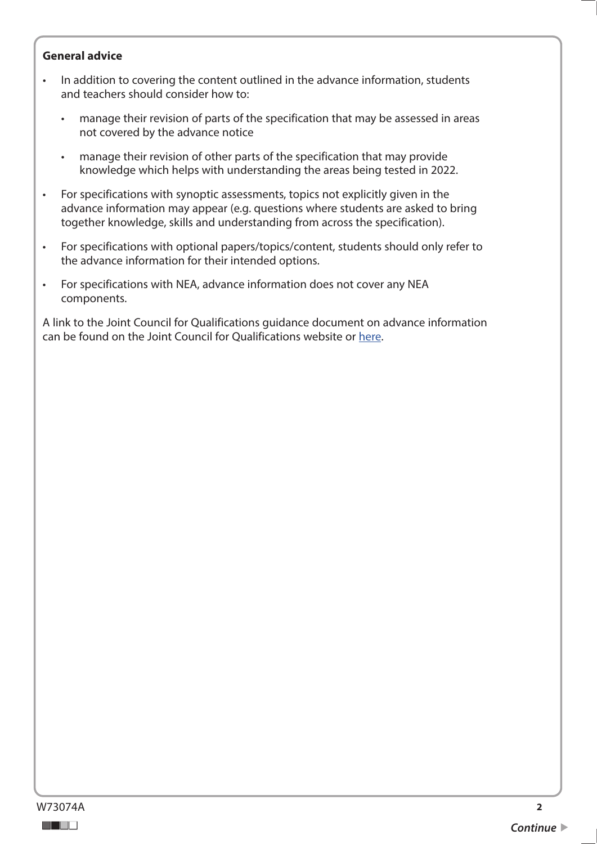#### **General advice**

- In addition to covering the content outlined in the advance information, students and teachers should consider how to:
	- manage their revision of parts of the specification that may be assessed in areas not covered by the advance notice
	- manage their revision of other parts of the specification that may provide knowledge which helps with understanding the areas being tested in 2022.
- For specifications with synoptic assessments, topics not explicitly given in the advance information may appear (e.g. questions where students are asked to bring together knowledge, skills and understanding from across the specification).
- For specifications with optional papers/topics/content, students should only refer to the advance information for their intended options.
- For specifications with NEA, advance information does not cover any NEA components.

A link to the Joint Council for Qualifications guidance document on advance information can be found on the Joint Council for Qualifications website or [here](https://www.jcq.org.uk/wp-content/uploads/2021/10/Advance-Information-for-General-Qualifications-2021-22.pdf).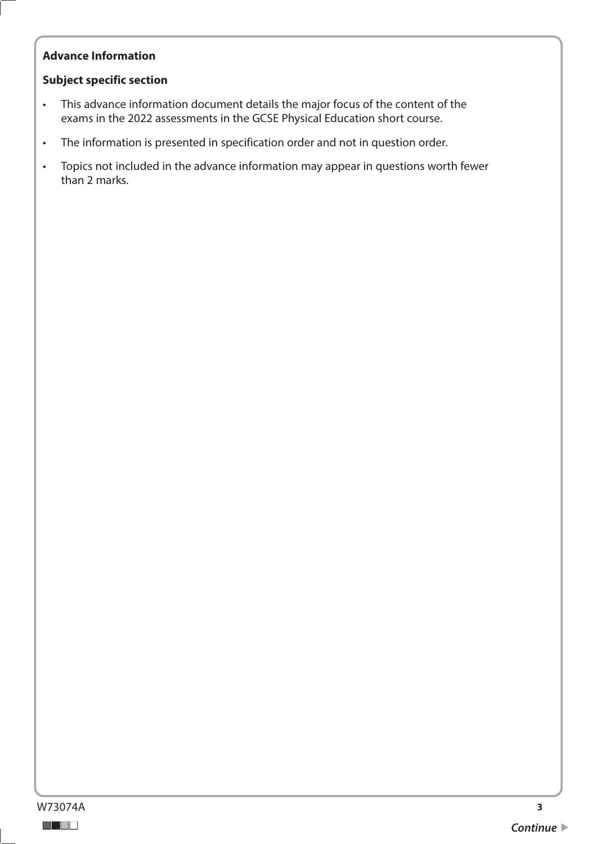# **Advance Information**

## **Subject specific section**

- This advance information document details the major focus of the content of the exams in the 2022 assessments in the GCSE Physical Education short course.
- The information is presented in specification order and not in question order.
- Topics not included in the advance information may appear in questions worth fewer than 2 marks.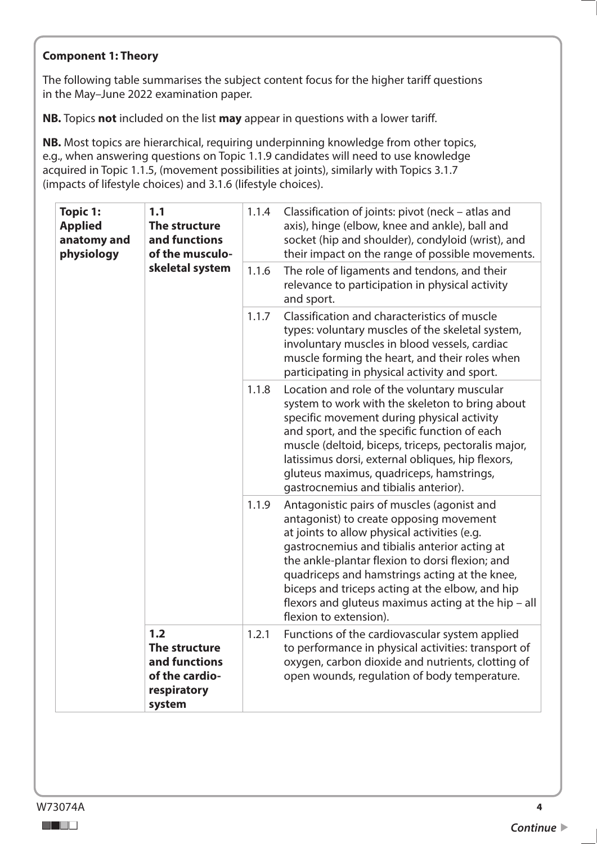## **Component 1: Theory**

The following table summarises the subject content focus for the higher tariff questions in the May–June 2022 examination paper.

**NB.** Topics **not** included on the list **may** appear in questions with a lower tariff.

**NB.** Most topics are hierarchical, requiring underpinning knowledge from other topics, e.g., when answering questions on Topic 1.1.9 candidates will need to use knowledge acquired in Topic 1.1.5, (movement possibilities at joints), similarly with Topics 3.1.7 (impacts of lifestyle choices) and 3.1.6 (lifestyle choices).

| <b>Topic 1:</b><br><b>Applied</b><br>anatomy and<br>physiology | 1.1<br>The structure<br>and functions<br>of the musculo-<br>skeletal system      | 1.1.4<br>1.1.6 | Classification of joints: pivot (neck - atlas and<br>axis), hinge (elbow, knee and ankle), ball and<br>socket (hip and shoulder), condyloid (wrist), and<br>their impact on the range of possible movements.<br>The role of ligaments and tendons, and their                                                                                                                                                                   |
|----------------------------------------------------------------|----------------------------------------------------------------------------------|----------------|--------------------------------------------------------------------------------------------------------------------------------------------------------------------------------------------------------------------------------------------------------------------------------------------------------------------------------------------------------------------------------------------------------------------------------|
|                                                                |                                                                                  |                | relevance to participation in physical activity<br>and sport.                                                                                                                                                                                                                                                                                                                                                                  |
|                                                                |                                                                                  | 1.1.7          | Classification and characteristics of muscle<br>types: voluntary muscles of the skeletal system,<br>involuntary muscles in blood vessels, cardiac<br>muscle forming the heart, and their roles when<br>participating in physical activity and sport.                                                                                                                                                                           |
|                                                                |                                                                                  | 1.1.8          | Location and role of the voluntary muscular<br>system to work with the skeleton to bring about<br>specific movement during physical activity<br>and sport, and the specific function of each<br>muscle (deltoid, biceps, triceps, pectoralis major,<br>latissimus dorsi, external obliques, hip flexors,<br>gluteus maximus, quadriceps, hamstrings,<br>gastrocnemius and tibialis anterior).                                  |
|                                                                |                                                                                  | 1.1.9          | Antagonistic pairs of muscles (agonist and<br>antagonist) to create opposing movement<br>at joints to allow physical activities (e.g.<br>gastrocnemius and tibialis anterior acting at<br>the ankle-plantar flexion to dorsi flexion; and<br>quadriceps and hamstrings acting at the knee,<br>biceps and triceps acting at the elbow, and hip<br>flexors and gluteus maximus acting at the hip - all<br>flexion to extension). |
|                                                                | 1.2<br>The structure<br>and functions<br>of the cardio-<br>respiratory<br>system | 1.2.1          | Functions of the cardiovascular system applied<br>to performance in physical activities: transport of<br>oxygen, carbon dioxide and nutrients, clotting of<br>open wounds, regulation of body temperature.                                                                                                                                                                                                                     |